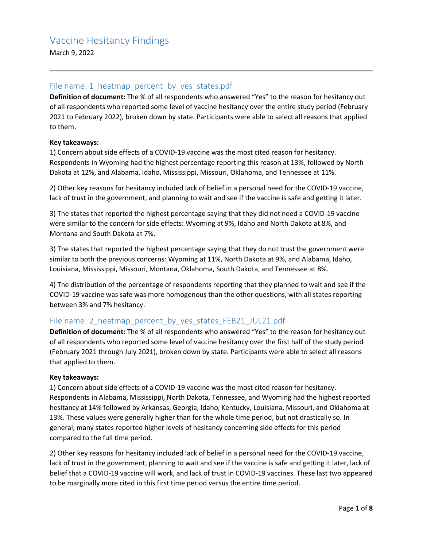March 9, 2022

## File name: 1 heatmap percent by yes states.pdf

**Definition of document:** The % of all respondents who answered "Yes" to the reason for hesitancy out of all respondents who reported some level of vaccine hesitancy over the entire study period (February 2021 to February 2022), broken down by state. Participants were able to select all reasons that applied to them.

#### **Key takeaways:**

1) Concern about side effects of a COVID-19 vaccine was the most cited reason for hesitancy. Respondents in Wyoming had the highest percentage reporting this reason at 13%, followed by North Dakota at 12%, and Alabama, Idaho, Mississippi, Missouri, Oklahoma, and Tennessee at 11%.

2) Other key reasons for hesitancy included lack of belief in a personal need for the COVID-19 vaccine, lack of trust in the government, and planning to wait and see if the vaccine is safe and getting it later.

3) The states that reported the highest percentage saying that they did not need a COVID-19 vaccine were similar to the concern for side effects: Wyoming at 9%, Idaho and North Dakota at 8%, and Montana and South Dakota at 7%.

3) The states that reported the highest percentage saying that they do not trust the government were similar to both the previous concerns: Wyoming at 11%, North Dakota at 9%, and Alabama, Idaho, Louisiana, Mississippi, Missouri, Montana, Oklahoma, South Dakota, and Tennessee at 8%.

4) The distribution of the percentage of respondents reporting that they planned to wait and see if the COVID-19 vaccine was safe was more homogenous than the other questions, with all states reporting between 3% and 7% hesitancy.

## File name: 2 heatmap percent by yes states FEB21 JUL21.pdf

**Definition of document:** The % of all respondents who answered "Yes" to the reason for hesitancy out of all respondents who reported some level of vaccine hesitancy over the first half of the study period (February 2021 through July 2021), broken down by state. Participants were able to select all reasons that applied to them.

#### **Key takeaways:**

1) Concern about side effects of a COVID-19 vaccine was the most cited reason for hesitancy. Respondents in Alabama, Mississippi, North Dakota, Tennessee, and Wyoming had the highest reported hesitancy at 14% followed by Arkansas, Georgia, Idaho, Kentucky, Louisiana, Missouri, and Oklahoma at 13%. These values were generally higher than for the whole time period, but not drastically so. In general, many states reported higher levels of hesitancy concerning side effects for this period compared to the full time period.

2) Other key reasons for hesitancy included lack of belief in a personal need for the COVID-19 vaccine, lack of trust in the government, planning to wait and see if the vaccine is safe and getting it later, lack of belief that a COVID-19 vaccine will work, and lack of trust in COVID-19 vaccines. These last two appeared to be marginally more cited in this first time period versus the entire time period.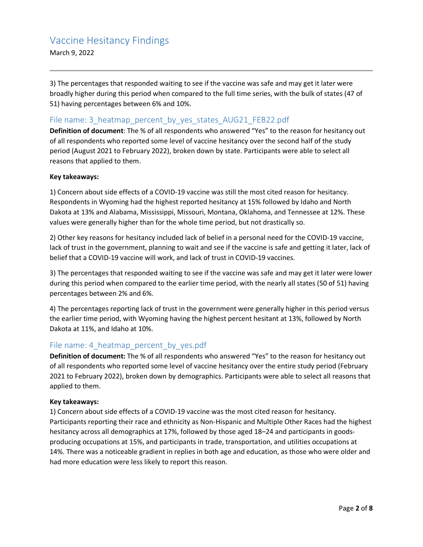March 9, 2022

3) The percentages that responded waiting to see if the vaccine was safe and may get it later were broadly higher during this period when compared to the full time series, with the bulk of states (47 of 51) having percentages between 6% and 10%.

## File name: 3\_heatmap\_percent\_by\_yes\_states\_AUG21\_FEB22.pdf

**Definition of document**: The % of all respondents who answered "Yes" to the reason for hesitancy out of all respondents who reported some level of vaccine hesitancy over the second half of the study period (August 2021 to February 2022), broken down by state. Participants were able to select all reasons that applied to them.

#### **Key takeaways:**

1) Concern about side effects of a COVID-19 vaccine was still the most cited reason for hesitancy. Respondents in Wyoming had the highest reported hesitancy at 15% followed by Idaho and North Dakota at 13% and Alabama, Mississippi, Missouri, Montana, Oklahoma, and Tennessee at 12%. These values were generally higher than for the whole time period, but not drastically so.

2) Other key reasons for hesitancy included lack of belief in a personal need for the COVID-19 vaccine, lack of trust in the government, planning to wait and see if the vaccine is safe and getting it later, lack of belief that a COVID-19 vaccine will work, and lack of trust in COVID-19 vaccines.

3) The percentages that responded waiting to see if the vaccine was safe and may get it later were lower during this period when compared to the earlier time period, with the nearly all states (50 of 51) having percentages between 2% and 6%.

4) The percentages reporting lack of trust in the government were generally higher in this period versus the earlier time period, with Wyoming having the highest percent hesitant at 13%, followed by North Dakota at 11%, and Idaho at 10%.

## File name: 4\_heatmap\_percent\_by\_yes.pdf

**Definition of document:** The % of all respondents who answered "Yes" to the reason for hesitancy out of all respondents who reported some level of vaccine hesitancy over the entire study period (February 2021 to February 2022), broken down by demographics. Participants were able to select all reasons that applied to them.

#### **Key takeaways:**

1) Concern about side effects of a COVID-19 vaccine was the most cited reason for hesitancy. Participants reporting their race and ethnicity as Non-Hispanic and Multiple Other Races had the highest hesitancy across all demographics at 17%, followed by those aged 18–24 and participants in goodsproducing occupations at 15%, and participants in trade, transportation, and utilities occupations at 14%. There was a noticeable gradient in replies in both age and education, as those who were older and had more education were less likely to report this reason.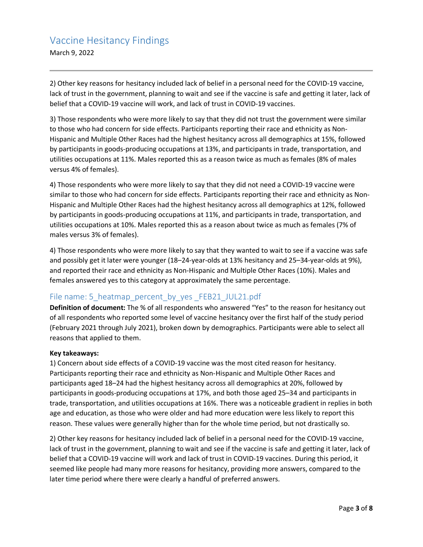March 9, 2022

2) Other key reasons for hesitancy included lack of belief in a personal need for the COVID-19 vaccine, lack of trust in the government, planning to wait and see if the vaccine is safe and getting it later, lack of belief that a COVID-19 vaccine will work, and lack of trust in COVID-19 vaccines.

3) Those respondents who were more likely to say that they did not trust the government were similar to those who had concern for side effects. Participants reporting their race and ethnicity as Non-Hispanic and Multiple Other Races had the highest hesitancy across all demographics at 15%, followed by participants in goods-producing occupations at 13%, and participants in trade, transportation, and utilities occupations at 11%. Males reported this as a reason twice as much as females (8% of males versus 4% of females).

4) Those respondents who were more likely to say that they did not need a COVID-19 vaccine were similar to those who had concern for side effects. Participants reporting their race and ethnicity as Non-Hispanic and Multiple Other Races had the highest hesitancy across all demographics at 12%, followed by participants in goods-producing occupations at 11%, and participants in trade, transportation, and utilities occupations at 10%. Males reported this as a reason about twice as much as females (7% of males versus 3% of females).

4) Those respondents who were more likely to say that they wanted to wait to see if a vaccine was safe and possibly get it later were younger (18–24-year-olds at 13% hesitancy and 25–34-year-olds at 9%), and reported their race and ethnicity as Non-Hispanic and Multiple Other Races (10%). Males and females answered yes to this category at approximately the same percentage.

## File name: 5\_heatmap\_percent\_by\_yes \_FEB21\_JUL21.pdf

**Definition of document:** The % of all respondents who answered "Yes" to the reason for hesitancy out of all respondents who reported some level of vaccine hesitancy over the first half of the study period (February 2021 through July 2021), broken down by demographics. Participants were able to select all reasons that applied to them.

#### **Key takeaways:**

1) Concern about side effects of a COVID-19 vaccine was the most cited reason for hesitancy. Participants reporting their race and ethnicity as Non-Hispanic and Multiple Other Races and participants aged 18–24 had the highest hesitancy across all demographics at 20%, followed by participants in goods-producing occupations at 17%, and both those aged 25–34 and participants in trade, transportation, and utilities occupations at 16%. There was a noticeable gradient in replies in both age and education, as those who were older and had more education were less likely to report this reason. These values were generally higher than for the whole time period, but not drastically so.

2) Other key reasons for hesitancy included lack of belief in a personal need for the COVID-19 vaccine, lack of trust in the government, planning to wait and see if the vaccine is safe and getting it later, lack of belief that a COVID-19 vaccine will work and lack of trust in COVID-19 vaccines. During this period, it seemed like people had many more reasons for hesitancy, providing more answers, compared to the later time period where there were clearly a handful of preferred answers.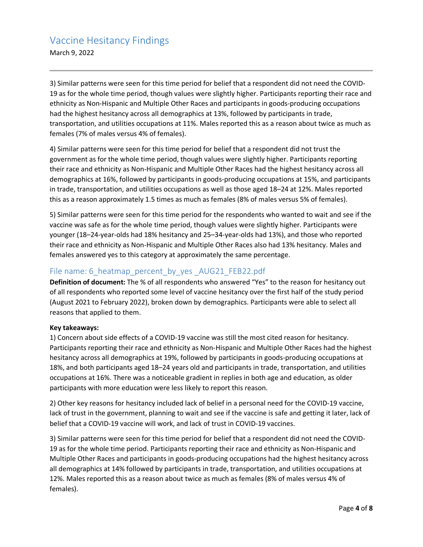March 9, 2022

3) Similar patterns were seen for this time period for belief that a respondent did not need the COVID-19 as for the whole time period, though values were slightly higher. Participants reporting their race and ethnicity as Non-Hispanic and Multiple Other Races and participants in goods-producing occupations had the highest hesitancy across all demographics at 13%, followed by participants in trade, transportation, and utilities occupations at 11%. Males reported this as a reason about twice as much as females (7% of males versus 4% of females).

4) Similar patterns were seen for this time period for belief that a respondent did not trust the government as for the whole time period, though values were slightly higher. Participants reporting their race and ethnicity as Non-Hispanic and Multiple Other Races had the highest hesitancy across all demographics at 16%, followed by participants in goods-producing occupations at 15%, and participants in trade, transportation, and utilities occupations as well as those aged 18–24 at 12%. Males reported this as a reason approximately 1.5 times as much as females (8% of males versus 5% of females).

5) Similar patterns were seen for this time period for the respondents who wanted to wait and see if the vaccine was safe as for the whole time period, though values were slightly higher. Participants were younger (18–24-year-olds had 18% hesitancy and 25–34-year-olds had 13%), and those who reported their race and ethnicity as Non-Hispanic and Multiple Other Races also had 13% hesitancy. Males and females answered yes to this category at approximately the same percentage.

## File name: 6 heatmap\_percent\_by\_yes \_AUG21\_FEB22.pdf

**Definition of document:** The % of all respondents who answered "Yes" to the reason for hesitancy out of all respondents who reported some level of vaccine hesitancy over the first half of the study period (August 2021 to February 2022), broken down by demographics. Participants were able to select all reasons that applied to them.

#### **Key takeaways:**

1) Concern about side effects of a COVID-19 vaccine was still the most cited reason for hesitancy. Participants reporting their race and ethnicity as Non-Hispanic and Multiple Other Races had the highest hesitancy across all demographics at 19%, followed by participants in goods-producing occupations at 18%, and both participants aged 18–24 years old and participants in trade, transportation, and utilities occupations at 16%. There was a noticeable gradient in replies in both age and education, as older participants with more education were less likely to report this reason.

2) Other key reasons for hesitancy included lack of belief in a personal need for the COVID-19 vaccine, lack of trust in the government, planning to wait and see if the vaccine is safe and getting it later, lack of belief that a COVID-19 vaccine will work, and lack of trust in COVID-19 vaccines.

3) Similar patterns were seen for this time period for belief that a respondent did not need the COVID-19 as for the whole time period. Participants reporting their race and ethnicity as Non-Hispanic and Multiple Other Races and participants in goods-producing occupations had the highest hesitancy across all demographics at 14% followed by participants in trade, transportation, and utilities occupations at 12%. Males reported this as a reason about twice as much as females (8% of males versus 4% of females).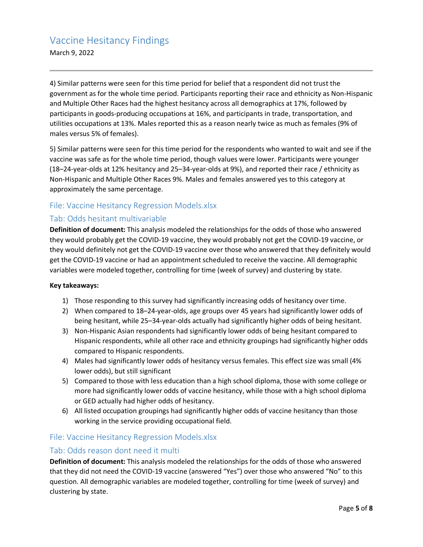March 9, 2022

4) Similar patterns were seen for this time period for belief that a respondent did not trust the government as for the whole time period. Participants reporting their race and ethnicity as Non-Hispanic and Multiple Other Races had the highest hesitancy across all demographics at 17%, followed by participants in goods-producing occupations at 16%, and participants in trade, transportation, and utilities occupations at 13%. Males reported this as a reason nearly twice as much as females (9% of males versus 5% of females).

5) Similar patterns were seen for this time period for the respondents who wanted to wait and see if the vaccine was safe as for the whole time period, though values were lower. Participants were younger (18–24-year-olds at 12% hesitancy and 25–34-year-olds at 9%), and reported their race / ethnicity as Non-Hispanic and Multiple Other Races 9%. Males and females answered yes to this category at approximately the same percentage.

## File: Vaccine Hesitancy Regression Models.xlsx

## Tab: Odds hesitant multivariable

**Definition of document:** This analysis modeled the relationships for the odds of those who answered they would probably get the COVID-19 vaccine, they would probably not get the COVID-19 vaccine, or they would definitely not get the COVID-19 vaccine over those who answered that they definitely would get the COVID-19 vaccine or had an appointment scheduled to receive the vaccine. All demographic variables were modeled together, controlling for time (week of survey) and clustering by state.

#### **Key takeaways:**

- 1) Those responding to this survey had significantly increasing odds of hesitancy over time.
- 2) When compared to 18–24-year-olds, age groups over 45 years had significantly lower odds of being hesitant, while 25–34-year-olds actually had significantly higher odds of being hesitant.
- 3) Non-Hispanic Asian respondents had significantly lower odds of being hesitant compared to Hispanic respondents, while all other race and ethnicity groupings had significantly higher odds compared to Hispanic respondents.
- 4) Males had significantly lower odds of hesitancy versus females. This effect size was small (4% lower odds), but still significant
- 5) Compared to those with less education than a high school diploma, those with some college or more had significantly lower odds of vaccine hesitancy, while those with a high school diploma or GED actually had higher odds of hesitancy.
- 6) All listed occupation groupings had significantly higher odds of vaccine hesitancy than those working in the service providing occupational field.

## File: Vaccine Hesitancy Regression Models.xlsx

## Tab: Odds reason dont need it multi

**Definition of document:** This analysis modeled the relationships for the odds of those who answered that they did not need the COVID-19 vaccine (answered "Yes") over those who answered "No" to this question. All demographic variables are modeled together, controlling for time (week of survey) and clustering by state.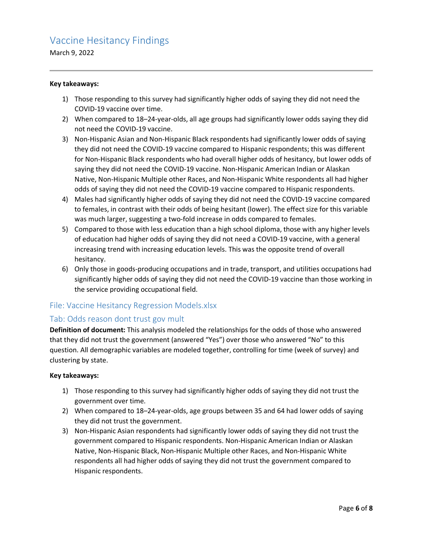March 9, 2022

#### **Key takeaways:**

- 1) Those responding to this survey had significantly higher odds of saying they did not need the COVID-19 vaccine over time.
- 2) When compared to 18–24-year-olds, all age groups had significantly lower odds saying they did not need the COVID-19 vaccine.
- 3) Non-Hispanic Asian and Non-Hispanic Black respondents had significantly lower odds of saying they did not need the COVID-19 vaccine compared to Hispanic respondents; this was different for Non-Hispanic Black respondents who had overall higher odds of hesitancy, but lower odds of saying they did not need the COVID-19 vaccine. Non-Hispanic American Indian or Alaskan Native, Non-Hispanic Multiple other Races, and Non-Hispanic White respondents all had higher odds of saying they did not need the COVID-19 vaccine compared to Hispanic respondents.
- 4) Males had significantly higher odds of saying they did not need the COVID-19 vaccine compared to females, in contrast with their odds of being hesitant (lower). The effect size for this variable was much larger, suggesting a two-fold increase in odds compared to females.
- 5) Compared to those with less education than a high school diploma, those with any higher levels of education had higher odds of saying they did not need a COVID-19 vaccine, with a general increasing trend with increasing education levels. This was the opposite trend of overall hesitancy.
- 6) Only those in goods-producing occupations and in trade, transport, and utilities occupations had significantly higher odds of saying they did not need the COVID-19 vaccine than those working in the service providing occupational field.

## File: Vaccine Hesitancy Regression Models.xlsx

## Tab: Odds reason dont trust gov mult

**Definition of document:** This analysis modeled the relationships for the odds of those who answered that they did not trust the government (answered "Yes") over those who answered "No" to this question. All demographic variables are modeled together, controlling for time (week of survey) and clustering by state.

#### **Key takeaways:**

- 1) Those responding to this survey had significantly higher odds of saying they did not trust the government over time.
- 2) When compared to 18–24-year-olds, age groups between 35 and 64 had lower odds of saying they did not trust the government.
- 3) Non-Hispanic Asian respondents had significantly lower odds of saying they did not trust the government compared to Hispanic respondents. Non-Hispanic American Indian or Alaskan Native, Non-Hispanic Black, Non-Hispanic Multiple other Races, and Non-Hispanic White respondents all had higher odds of saying they did not trust the government compared to Hispanic respondents.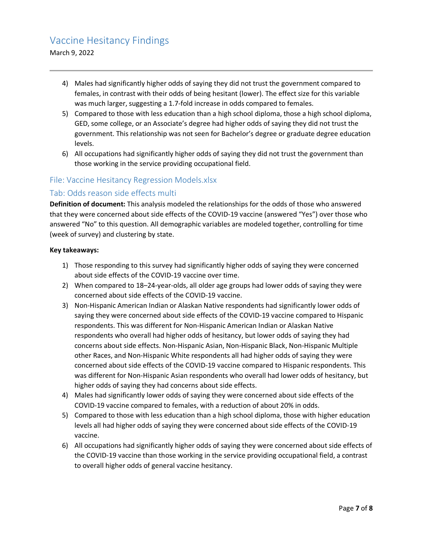- 4) Males had significantly higher odds of saying they did not trust the government compared to females, in contrast with their odds of being hesitant (lower). The effect size for this variable was much larger, suggesting a 1.7-fold increase in odds compared to females.
- 5) Compared to those with less education than a high school diploma, those a high school diploma, GED, some college, or an Associate's degree had higher odds of saying they did not trust the government. This relationship was not seen for Bachelor's degree or graduate degree education levels.
- 6) All occupations had significantly higher odds of saying they did not trust the government than those working in the service providing occupational field.

## File: Vaccine Hesitancy Regression Models.xlsx

#### Tab: Odds reason side effects multi

**Definition of document:** This analysis modeled the relationships for the odds of those who answered that they were concerned about side effects of the COVID-19 vaccine (answered "Yes") over those who answered "No" to this question. All demographic variables are modeled together, controlling for time (week of survey) and clustering by state.

#### **Key takeaways:**

- 1) Those responding to this survey had significantly higher odds of saying they were concerned about side effects of the COVID-19 vaccine over time.
- 2) When compared to 18–24-year-olds, all older age groups had lower odds of saying they were concerned about side effects of the COVID-19 vaccine.
- 3) Non-Hispanic American Indian or Alaskan Native respondents had significantly lower odds of saying they were concerned about side effects of the COVID-19 vaccine compared to Hispanic respondents. This was different for Non-Hispanic American Indian or Alaskan Native respondents who overall had higher odds of hesitancy, but lower odds of saying they had concerns about side effects. Non-Hispanic Asian, Non-Hispanic Black, Non-Hispanic Multiple other Races, and Non-Hispanic White respondents all had higher odds of saying they were concerned about side effects of the COVID-19 vaccine compared to Hispanic respondents. This was different for Non-Hispanic Asian respondents who overall had lower odds of hesitancy, but higher odds of saying they had concerns about side effects.
- 4) Males had significantly lower odds of saying they were concerned about side effects of the COVID-19 vaccine compared to females, with a reduction of about 20% in odds.
- 5) Compared to those with less education than a high school diploma, those with higher education levels all had higher odds of saying they were concerned about side effects of the COVID-19 vaccine.
- 6) All occupations had significantly higher odds of saying they were concerned about side effects of the COVID-19 vaccine than those working in the service providing occupational field, a contrast to overall higher odds of general vaccine hesitancy.